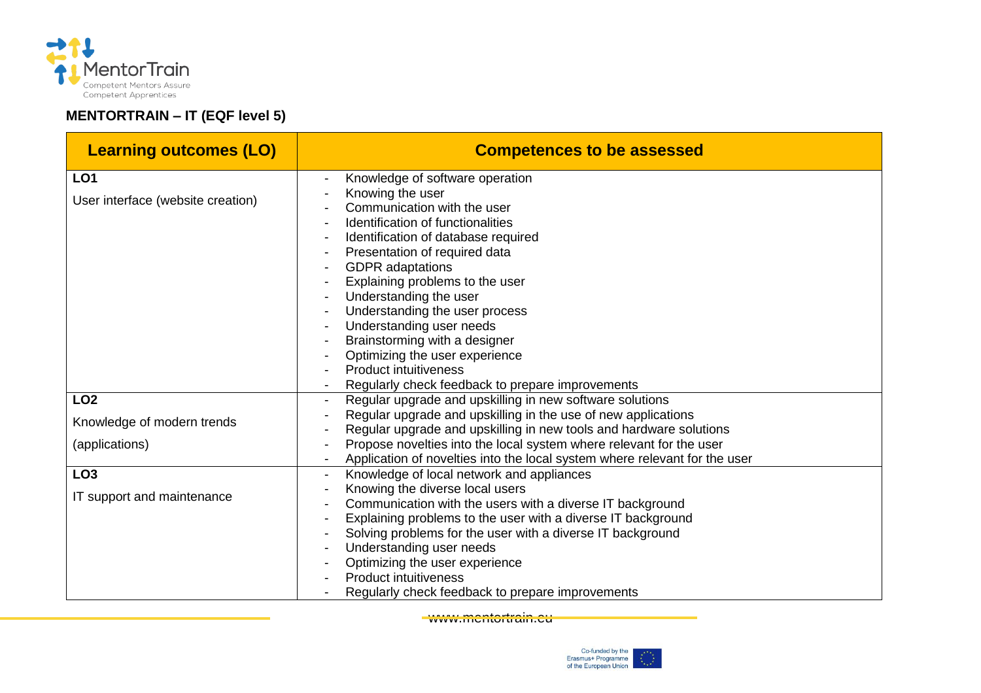

## **MENTORTRAIN – IT (EQF level 5)**

| <b>Learning outcomes (LO)</b>     | <b>Competences to be assessed</b>                                                                                                                 |
|-----------------------------------|---------------------------------------------------------------------------------------------------------------------------------------------------|
| LO <sub>1</sub>                   | Knowledge of software operation                                                                                                                   |
| User interface (website creation) | Knowing the user                                                                                                                                  |
|                                   | Communication with the user                                                                                                                       |
|                                   | Identification of functionalities<br>Identification of database required                                                                          |
|                                   | Presentation of required data                                                                                                                     |
|                                   | <b>GDPR</b> adaptations                                                                                                                           |
|                                   | Explaining problems to the user                                                                                                                   |
|                                   | Understanding the user                                                                                                                            |
|                                   | Understanding the user process                                                                                                                    |
|                                   | Understanding user needs                                                                                                                          |
|                                   | Brainstorming with a designer                                                                                                                     |
|                                   | Optimizing the user experience                                                                                                                    |
|                                   | <b>Product intuitiveness</b>                                                                                                                      |
|                                   | Regularly check feedback to prepare improvements                                                                                                  |
| LO <sub>2</sub>                   | Regular upgrade and upskilling in new software solutions                                                                                          |
| Knowledge of modern trends        | Regular upgrade and upskilling in the use of new applications                                                                                     |
|                                   | Regular upgrade and upskilling in new tools and hardware solutions                                                                                |
| (applications)                    | Propose novelties into the local system where relevant for the user<br>Application of novelties into the local system where relevant for the user |
| LO <sub>3</sub>                   | Knowledge of local network and appliances                                                                                                         |
| IT support and maintenance        | Knowing the diverse local users                                                                                                                   |
|                                   | Communication with the users with a diverse IT background                                                                                         |
|                                   | Explaining problems to the user with a diverse IT background                                                                                      |
|                                   | Solving problems for the user with a diverse IT background                                                                                        |
|                                   | Understanding user needs                                                                                                                          |
|                                   | Optimizing the user experience                                                                                                                    |
|                                   | <b>Product intuitiveness</b>                                                                                                                      |
|                                   | Regularly check feedback to prepare improvements                                                                                                  |

www.mentortrain.eu